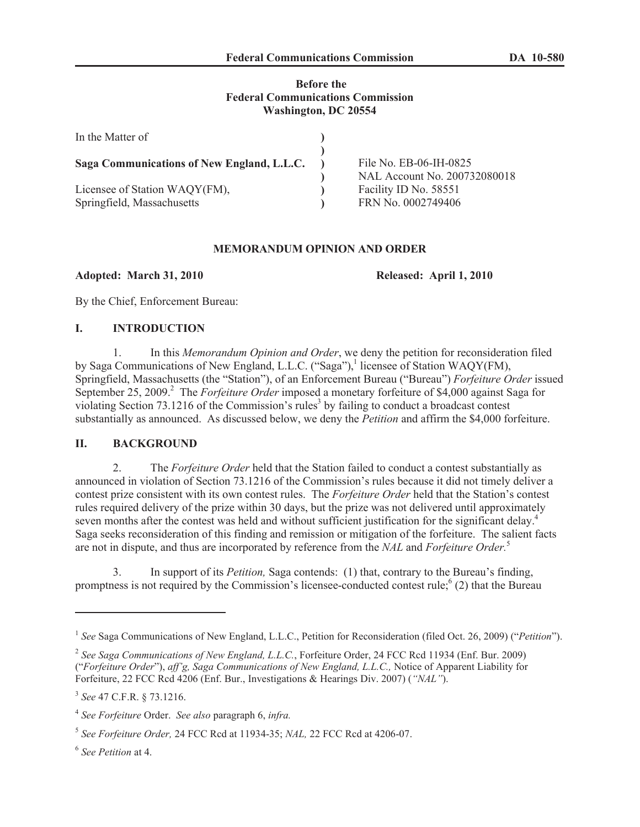## **Before the Federal Communications Commission Washington, DC 20554**

| In the Matter of                                            |                                                                             |
|-------------------------------------------------------------|-----------------------------------------------------------------------------|
| Saga Communications of New England, L.L.C.                  | File No. EB-06-IH-0825                                                      |
| Licensee of Station WAQY(FM),<br>Springfield, Massachusetts | NAL Account No. 200732080018<br>Facility ID No. 58551<br>FRN No. 0002749406 |

# **MEMORANDUM OPINION AND ORDER**

**Adopted: March 31, 2010 Released: April 1, 2010** 

By the Chief, Enforcement Bureau:

## **I. INTRODUCTION**

1. In this *Memorandum Opinion and Order*, we deny the petition for reconsideration filed by Saga Communications of New England, L.L.C. ("Saga"),<sup>1</sup> licensee of Station WAQY(FM), Springfield, Massachusetts (the "Station"), of an Enforcement Bureau ("Bureau") *Forfeiture Order* issued September 25, 2009.<sup>2</sup> The *Forfeiture Order* imposed a monetary forfeiture of \$4,000 against Saga for violating Section 73.1216 of the Commission's rules<sup>3</sup> by failing to conduct a broadcast contest substantially as announced. As discussed below, we deny the *Petition* and affirm the \$4,000 forfeiture.

## **II. BACKGROUND**

2. The *Forfeiture Order* held that the Station failed to conduct a contest substantially as announced in violation of Section 73.1216 of the Commission's rules because it did not timely deliver a contest prize consistent with its own contest rules. The *Forfeiture Order* held that the Station's contest rules required delivery of the prize within 30 days, but the prize was not delivered until approximately seven months after the contest was held and without sufficient justification for the significant delay.<sup>4</sup> Saga seeks reconsideration of this finding and remission or mitigation of the forfeiture. The salient facts are not in dispute, and thus are incorporated by reference from the *NAL* and *Forfeiture Order.*<sup>5</sup>

3. In support of its *Petition,* Saga contends: (1) that, contrary to the Bureau's finding, promptness is not required by the Commission's licensee-conducted contest rule;  $(2)$  that the Bureau

6 *See Petition* at 4.

<sup>&</sup>lt;sup>1</sup> See Saga Communications of New England, L.L.C., Petition for Reconsideration (filed Oct. 26, 2009) ("Petition").

<sup>2</sup> *See Saga Communications of New England, L.L.C.*, Forfeiture Order, 24 FCC Rcd 11934 (Enf. Bur. 2009) ("*Forfeiture Order*"), *aff'g, Saga Communications of New England, L.L.C.,* Notice of Apparent Liability for Forfeiture, 22 FCC Rcd 4206 (Enf. Bur., Investigations & Hearings Div. 2007) (*"NAL"*).

<sup>3</sup> *See* 47 C.F.R. § 73.1216.

<sup>4</sup> *See Forfeiture* Order. *See also* paragraph 6, *infra.*

<sup>5</sup> *See Forfeiture Order,* 24 FCC Rcd at 11934-35; *NAL,* 22 FCC Rcd at 4206-07.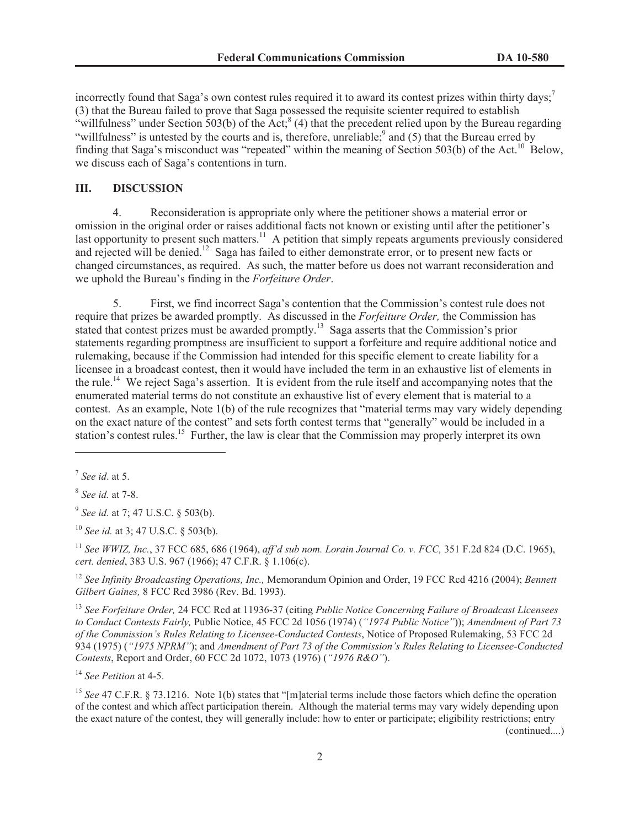incorrectly found that Saga's own contest rules required it to award its contest prizes within thirty days;<sup>7</sup> (3) that the Bureau failed to prove that Saga possessed the requisite scienter required to establish "willfulness" under Section  $503(b)$  of the Act;<sup>8</sup> (4) that the precedent relied upon by the Bureau regarding "willfulness" is untested by the courts and is, therefore, unreliable;<sup>9</sup> and (5) that the Bureau erred by finding that Saga's misconduct was "repeated" within the meaning of Section 503(b) of the Act.<sup>10</sup> Below, we discuss each of Saga's contentions in turn.

#### **III. DISCUSSION**

4. Reconsideration is appropriate only where the petitioner shows a material error or omission in the original order or raises additional facts not known or existing until after the petitioner's last opportunity to present such matters.<sup>11</sup> A petition that simply repeats arguments previously considered and rejected will be denied.<sup>12</sup> Saga has failed to either demonstrate error, or to present new facts or changed circumstances, as required. As such, the matter before us does not warrant reconsideration and we uphold the Bureau's finding in the *Forfeiture Order*.

5. First, we find incorrect Saga's contention that the Commission's contest rule does not require that prizes be awarded promptly. As discussed in the *Forfeiture Order,* the Commission has stated that contest prizes must be awarded promptly.<sup>13</sup> Saga asserts that the Commission's prior statements regarding promptness are insufficient to support a forfeiture and require additional notice and rulemaking, because if the Commission had intended for this specific element to create liability for a licensee in a broadcast contest, then it would have included the term in an exhaustive list of elements in the rule.<sup>14</sup> We reject Saga's assertion. It is evident from the rule itself and accompanying notes that the enumerated material terms do not constitute an exhaustive list of every element that is material to a contest. As an example, Note 1(b) of the rule recognizes that "material terms may vary widely depending on the exact nature of the contest" and sets forth contest terms that "generally" would be included in a station's contest rules.<sup>15</sup> Further, the law is clear that the Commission may properly interpret its own

<sup>11</sup> *See WWIZ, Inc.*, 37 FCC 685, 686 (1964), *aff'd sub nom. Lorain Journal Co. v. FCC,* 351 F.2d 824 (D.C. 1965), *cert. denied*, 383 U.S. 967 (1966); 47 C.F.R. § 1.106(c).

<sup>12</sup> *See Infinity Broadcasting Operations, Inc.,* Memorandum Opinion and Order, 19 FCC Rcd 4216 (2004); *Bennett Gilbert Gaines,* 8 FCC Rcd 3986 (Rev. Bd. 1993).

<sup>13</sup> *See Forfeiture Order,* 24 FCC Rcd at 11936-37 (citing *Public Notice Concerning Failure of Broadcast Licensees to Conduct Contests Fairly,* Public Notice, 45 FCC 2d 1056 (1974) (*"1974 Public Notice"*)); *Amendment of Part 73 of the Commission's Rules Relating to Licensee-Conducted Contests*, Notice of Proposed Rulemaking, 53 FCC 2d 934 (1975) (*"1975 NPRM"*); and *Amendment of Part 73 of the Commission's Rules Relating to Licensee-Conducted Contests*, Report and Order, 60 FCC 2d 1072, 1073 (1976) (*"1976 R&O"*).

<sup>14</sup> *See Petition* at 4-5.

<sup>15</sup> *See* 47 C.F.R. § 73.1216. Note 1(b) states that "[m]aterial terms include those factors which define the operation of the contest and which affect participation therein. Although the material terms may vary widely depending upon the exact nature of the contest, they will generally include: how to enter or participate; eligibility restrictions; entry (continued....)

2

<sup>7</sup> *See id*. at 5.

<sup>8</sup> *See id.* at 7-8.

<sup>9</sup> *See id.* at 7; 47 U.S.C. § 503(b).

<sup>10</sup> *See id.* at 3; 47 U.S.C. § 503(b).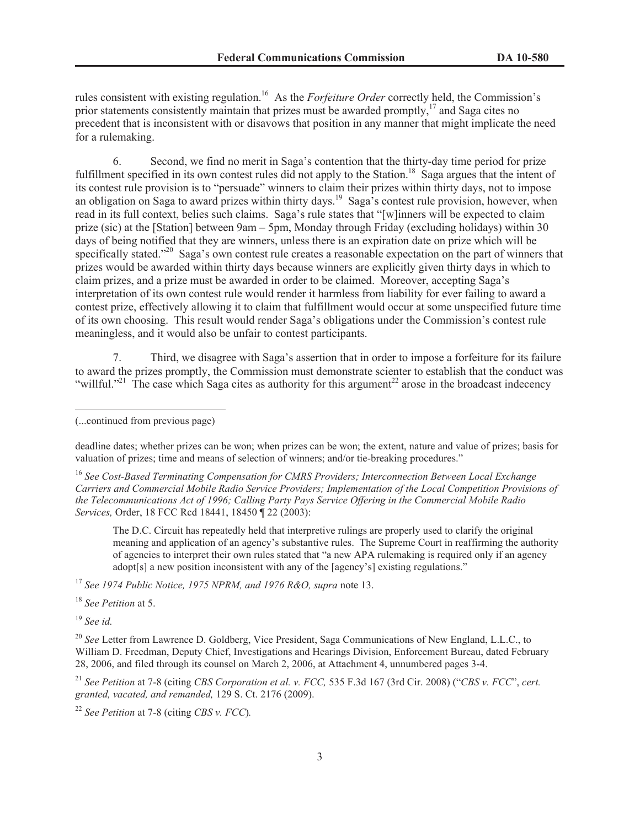rules consistent with existing regulation.<sup>16</sup> As the *Forfeiture Order* correctly held, the Commission's prior statements consistently maintain that prizes must be awarded promptly,<sup>17</sup> and Saga cites no precedent that is inconsistent with or disavows that position in any manner that might implicate the need for a rulemaking.

6. Second, we find no merit in Saga's contention that the thirty-day time period for prize fulfillment specified in its own contest rules did not apply to the Station.<sup>18</sup> Saga argues that the intent of its contest rule provision is to "persuade" winners to claim their prizes within thirty days, not to impose an obligation on Saga to award prizes within thirty days.<sup>19</sup> Saga's contest rule provision, however, when read in its full context, belies such claims. Saga's rule states that "[w]inners will be expected to claim prize (sic) at the [Station] between 9am – 5pm, Monday through Friday (excluding holidays) within 30 days of being notified that they are winners, unless there is an expiration date on prize which will be specifically stated."<sup>20</sup> Saga's own contest rule creates a reasonable expectation on the part of winners that prizes would be awarded within thirty days because winners are explicitly given thirty days in which to claim prizes, and a prize must be awarded in order to be claimed. Moreover, accepting Saga's interpretation of its own contest rule would render it harmless from liability for ever failing to award a contest prize, effectively allowing it to claim that fulfillment would occur at some unspecified future time of its own choosing. This result would render Saga's obligations under the Commission's contest rule meaningless, and it would also be unfair to contest participants.

7. Third, we disagree with Saga's assertion that in order to impose a forfeiture for its failure to award the prizes promptly, the Commission must demonstrate scienter to establish that the conduct was "willful."<sup>21</sup> The case which Saga cites as authority for this argument<sup>22</sup> arose in the broadcast indecency

deadline dates; whether prizes can be won; when prizes can be won; the extent, nature and value of prizes; basis for valuation of prizes; time and means of selection of winners; and/or tie-breaking procedures."

<sup>16</sup> *See Cost-Based Terminating Compensation for CMRS Providers; Interconnection Between Local Exchange Carriers and Commercial Mobile Radio Service Providers; Implementation of the Local Competition Provisions of the Telecommunications Act of 1996; Calling Party Pays Service Offering in the Commercial Mobile Radio Services,* Order, 18 FCC Rcd 18441, 18450 ¶ 22 (2003):

The D.C. Circuit has repeatedly held that interpretive rulings are properly used to clarify the original meaning and application of an agency's substantive rules. The Supreme Court in reaffirming the authority of agencies to interpret their own rules stated that "a new APA rulemaking is required only if an agency adopt[s] a new position inconsistent with any of the [agency's] existing regulations."

<sup>17</sup> *See 1974 Public Notice, 1975 NPRM, and 1976 R&O, supra* note 13.

<sup>18</sup> *See Petition* at 5.

<sup>19</sup> *See id.*

<sup>21</sup> *See Petition* at 7-8 (citing *CBS Corporation et al. v. FCC,* 535 F.3d 167 (3rd Cir. 2008) ("*CBS v. FCC*", *cert. granted, vacated, and remanded,* 129 S. Ct. 2176 (2009).

<sup>22</sup> *See Petition* at 7-8 (citing *CBS v. FCC*)*.*

<sup>(...</sup>continued from previous page)

<sup>20</sup> *See* Letter from Lawrence D. Goldberg, Vice President, Saga Communications of New England, L.L.C., to William D. Freedman, Deputy Chief, Investigations and Hearings Division, Enforcement Bureau, dated February 28, 2006, and filed through its counsel on March 2, 2006, at Attachment 4, unnumbered pages 3-4.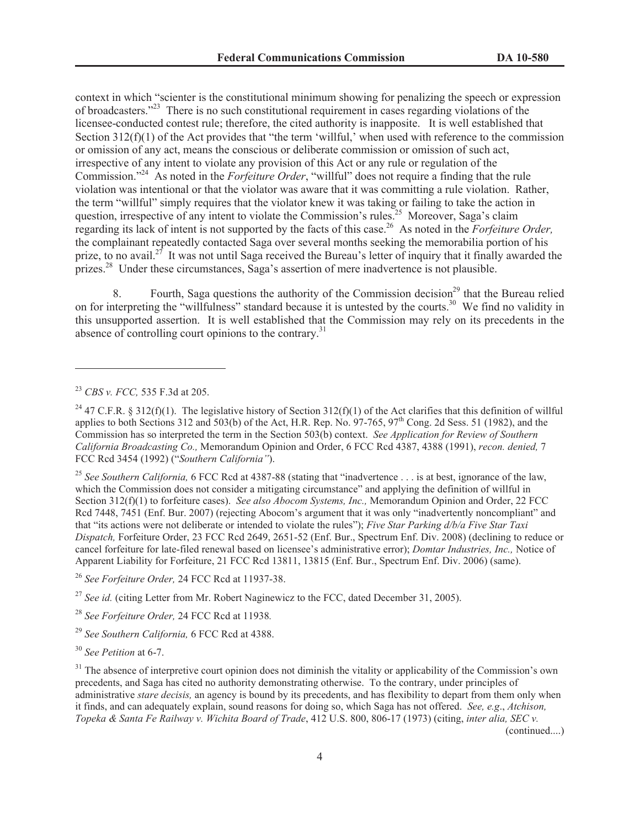context in which "scienter is the constitutional minimum showing for penalizing the speech or expression of broadcasters."<sup>23</sup> There is no such constitutional requirement in cases regarding violations of the licensee-conducted contest rule; therefore, the cited authority is inapposite. It is well established that Section  $312(f)(1)$  of the Act provides that "the term 'willful,' when used with reference to the commission or omission of any act, means the conscious or deliberate commission or omission of such act, irrespective of any intent to violate any provision of this Act or any rule or regulation of the Commission."<sup>24</sup> As noted in the *Forfeiture Order*, "willful" does not require a finding that the rule violation was intentional or that the violator was aware that it was committing a rule violation. Rather, the term "willful" simply requires that the violator knew it was taking or failing to take the action in question, irrespective of any intent to violate the Commission's rules.<sup>25</sup> Moreover, Saga's claim regarding its lack of intent is not supported by the facts of this case.<sup>26</sup> As noted in the *Forfeiture Order,* the complainant repeatedly contacted Saga over several months seeking the memorabilia portion of his prize, to no avail.<sup>27</sup> It was not until Saga received the Bureau's letter of inquiry that it finally awarded the prizes.<sup>28</sup> Under these circumstances, Saga's assertion of mere inadvertence is not plausible.

8. Fourth, Saga questions the authority of the Commission decision<sup>29</sup> that the Bureau relied on for interpreting the "willfulness" standard because it is untested by the courts.<sup>30</sup> We find no validity in this unsupported assertion. It is well established that the Commission may rely on its precedents in the absence of controlling court opinions to the contrary. $31$ 

<sup>25</sup> *See Southern California,* 6 FCC Rcd at 4387-88 (stating that "inadvertence . . . is at best, ignorance of the law, which the Commission does not consider a mitigating circumstance" and applying the definition of willful in Section 312(f)(1) to forfeiture cases). *See also Abocom Systems, Inc.,* Memorandum Opinion and Order, 22 FCC Rcd 7448, 7451 (Enf. Bur. 2007) (rejecting Abocom's argument that it was only "inadvertently noncompliant" and that "its actions were not deliberate or intended to violate the rules"); *Five Star Parking d/b/a Five Star Taxi Dispatch,* Forfeiture Order, 23 FCC Rcd 2649, 2651-52 (Enf. Bur., Spectrum Enf. Div. 2008) (declining to reduce or cancel forfeiture for late-filed renewal based on licensee's administrative error); *Domtar Industries, Inc.,* Notice of Apparent Liability for Forfeiture, 21 FCC Rcd 13811, 13815 (Enf. Bur., Spectrum Enf. Div. 2006) (same).

<sup>26</sup> *See Forfeiture Order,* 24 FCC Rcd at 11937-38.

<sup>27</sup> *See id.* (citing Letter from Mr. Robert Naginewicz to the FCC, dated December 31, 2005).

<sup>28</sup> *See Forfeiture Order,* 24 FCC Rcd at 11938*.*

<sup>29</sup> *See Southern California,* 6 FCC Rcd at 4388.

<sup>30</sup> *See Petition* at 6-7.

(continued....)

<sup>23</sup> *CBS v. FCC,* 535 F.3d at 205.

<sup>&</sup>lt;sup>24</sup> 47 C.F.R. § 312(f)(1). The legislative history of Section 312(f)(1) of the Act clarifies that this definition of willful applies to both Sections 312 and 503(b) of the Act, H.R. Rep. No. 97-765, 97<sup>th</sup> Cong. 2d Sess. 51 (1982), and the Commission has so interpreted the term in the Section 503(b) context. *See Application for Review of Southern California Broadcasting Co.,* Memorandum Opinion and Order, 6 FCC Rcd 4387, 4388 (1991), *recon. denied,* 7 FCC Rcd 3454 (1992) ("*Southern California"*).

<sup>&</sup>lt;sup>31</sup> The absence of interpretive court opinion does not diminish the vitality or applicability of the Commission's own precedents, and Saga has cited no authority demonstrating otherwise. To the contrary, under principles of administrative *stare decisis,* an agency is bound by its precedents, and has flexibility to depart from them only when it finds, and can adequately explain, sound reasons for doing so, which Saga has not offered. *See, e.g*., *Atchison, Topeka & Santa Fe Railway v. Wichita Board of Trade*, 412 U.S. 800, 806-17 (1973) (citing, *inter alia, SEC v.*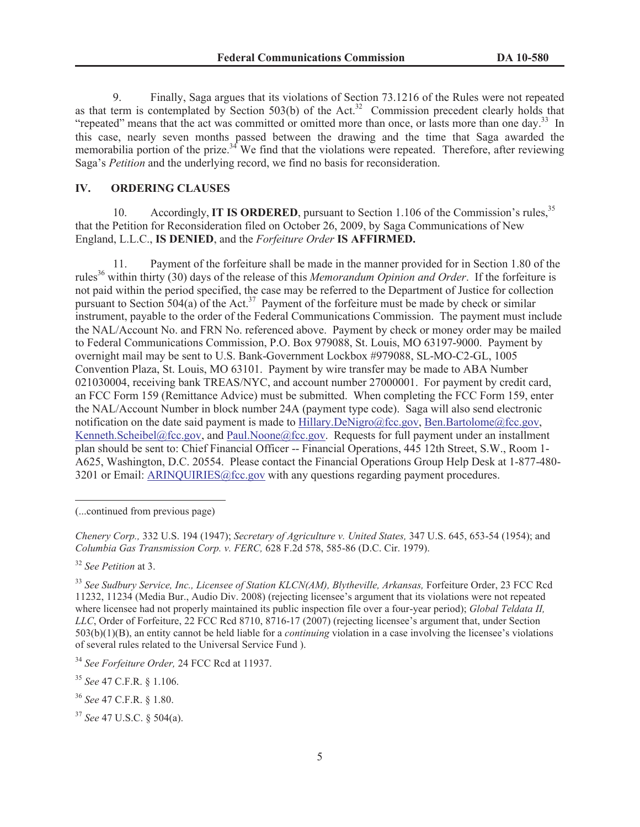9. Finally, Saga argues that its violations of Section 73.1216 of the Rules were not repeated as that term is contemplated by Section 503(b) of the Act.<sup>32</sup> Commission precedent clearly holds that "repeated" means that the act was committed or omitted more than once, or lasts more than one day.<sup>33</sup> In this case, nearly seven months passed between the drawing and the time that Saga awarded the memorabilia portion of the prize.<sup>34</sup> We find that the violations were repeated. Therefore, after reviewing Saga's *Petition* and the underlying record, we find no basis for reconsideration.

#### **IV. ORDERING CLAUSES**

10. Accordingly, **IT IS ORDERED**, pursuant to Section 1.106 of the Commission's rules.<sup>35</sup> that the Petition for Reconsideration filed on October 26, 2009, by Saga Communications of New England, L.L.C., **IS DENIED**, and the *Forfeiture Order* **IS AFFIRMED.**

11. Payment of the forfeiture shall be made in the manner provided for in Section 1.80 of the rules<sup>36</sup> within thirty (30) days of the release of this *Memorandum Opinion and Order*. If the forfeiture is not paid within the period specified, the case may be referred to the Department of Justice for collection pursuant to Section 504(a) of the Act.<sup>37</sup> Payment of the forfeiture must be made by check or similar instrument, payable to the order of the Federal Communications Commission. The payment must include the NAL/Account No. and FRN No. referenced above. Payment by check or money order may be mailed to Federal Communications Commission, P.O. Box 979088, St. Louis, MO 63197-9000. Payment by overnight mail may be sent to U.S. Bank-Government Lockbox #979088, SL-MO-C2-GL, 1005 Convention Plaza, St. Louis, MO 63101. Payment by wire transfer may be made to ABA Number 021030004, receiving bank TREAS/NYC, and account number 27000001. For payment by credit card, an FCC Form 159 (Remittance Advice) must be submitted. When completing the FCC Form 159, enter the NAL/Account Number in block number 24A (payment type code). Saga will also send electronic notification on the date said payment is made to Hillary.DeNigro@fcc.gov, Ben.Bartolome@fcc.gov, Kenneth.Scheibel@fcc.gov, and Paul.Noone@fcc.gov. Requests for full payment under an installment plan should be sent to: Chief Financial Officer -- Financial Operations, 445 12th Street, S.W., Room 1- A625, Washington, D.C. 20554. Please contact the Financial Operations Group Help Desk at 1-877-480- 3201 or Email: ARINQUIRIES@fcc.gov with any questions regarding payment procedures.

<sup>32</sup> *See Petition* at 3.

<sup>33</sup> See Sudbury Service, Inc., Licensee of Station KLCN(AM), Blytheville, Arkansas, Forfeiture Order, 23 FCC Rcd 11232, 11234 (Media Bur., Audio Div. 2008) (rejecting licensee's argument that its violations were not repeated where licensee had not properly maintained its public inspection file over a four-year period); *Global Teldata II, LLC*, Order of Forfeiture, 22 FCC Rcd 8710, 8716-17 (2007) (rejecting licensee's argument that, under Section 503(b)(1)(B), an entity cannot be held liable for a *continuing* violation in a case involving the licensee's violations of several rules related to the Universal Service Fund ).

<sup>(...</sup>continued from previous page)

*Chenery Corp.,* 332 U.S. 194 (1947); *Secretary of Agriculture v. United States,* 347 U.S. 645, 653-54 (1954); and *Columbia Gas Transmission Corp. v. FERC,* 628 F.2d 578, 585-86 (D.C. Cir. 1979).

<sup>34</sup> *See Forfeiture Order,* 24 FCC Rcd at 11937.

<sup>35</sup> *See* 47 C.F.R. § 1.106.

<sup>36</sup> *See* 47 C.F.R. § 1.80.

<sup>37</sup> *See* 47 U.S.C. § 504(a).